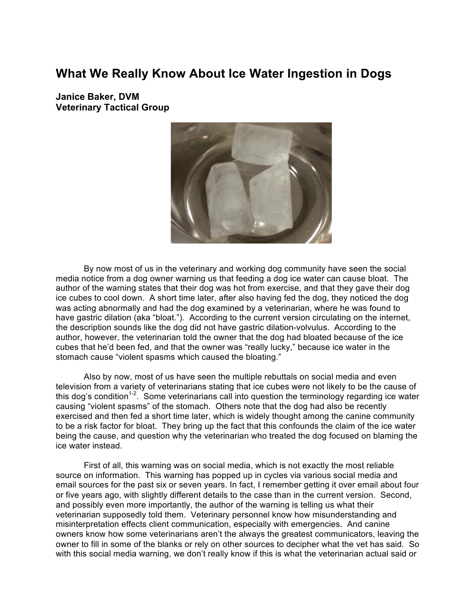## **What We Really Know About Ice Water Ingestion in Dogs**

**Janice Baker, DVM Veterinary Tactical Group**



By now most of us in the veterinary and working dog community have seen the social media notice from a dog owner warning us that feeding a dog ice water can cause bloat. The author of the warning states that their dog was hot from exercise, and that they gave their dog ice cubes to cool down. A short time later, after also having fed the dog, they noticed the dog was acting abnormally and had the dog examined by a veterinarian, where he was found to have gastric dilation (aka "bloat."). According to the current version circulating on the internet, the description sounds like the dog did not have gastric dilation-volvulus. According to the author, however, the veterinarian told the owner that the dog had bloated because of the ice cubes that he'd been fed, and that the owner was "really lucky," because ice water in the stomach cause "violent spasms which caused the bloating."

Also by now, most of us have seen the multiple rebuttals on social media and even television from a variety of veterinarians stating that ice cubes were not likely to be the cause of this dog's condition<sup>1-2</sup>. Some veterinarians call into question the terminology regarding ice water causing "violent spasms" of the stomach. Others note that the dog had also be recently exercised and then fed a short time later, which is widely thought among the canine community to be a risk factor for bloat. They bring up the fact that this confounds the claim of the ice water being the cause, and question why the veterinarian who treated the dog focused on blaming the ice water instead.

First of all, this warning was on social media, which is not exactly the most reliable source on information. This warning has popped up in cycles via various social media and email sources for the past six or seven years. In fact, I remember getting it over email about four or five years ago, with slightly different details to the case than in the current version. Second, and possibly even more importantly, the author of the warning is telling us what their veterinarian supposedly told them. Veterinary personnel know how misunderstanding and misinterpretation effects client communication, especially with emergencies. And canine owners know how some veterinarians aren't the always the greatest communicators, leaving the owner to fill in some of the blanks or rely on other sources to decipher what the vet has said. So with this social media warning, we don't really know if this is what the veterinarian actual said or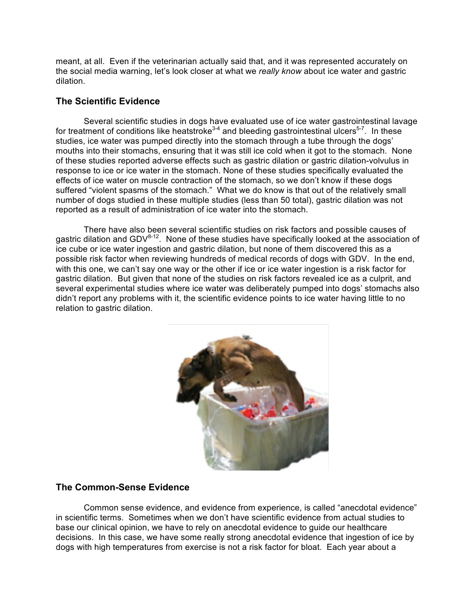meant, at all. Even if the veterinarian actually said that, and it was represented accurately on the social media warning, let's look closer at what we *really know* about ice water and gastric dilation.

## **The Scientific Evidence**

Several scientific studies in dogs have evaluated use of ice water gastrointestinal lavage for treatment of conditions like heatstroke<sup>3-4</sup> and bleeding gastrointestinal ulcers<sup>5-7</sup>. In these studies, ice water was pumped directly into the stomach through a tube through the dogs' mouths into their stomachs, ensuring that it was still ice cold when it got to the stomach. None of these studies reported adverse effects such as gastric dilation or gastric dilation-volvulus in response to ice or ice water in the stomach. None of these studies specifically evaluated the effects of ice water on muscle contraction of the stomach, so we don't know if these dogs suffered "violent spasms of the stomach." What we do know is that out of the relatively small number of dogs studied in these multiple studies (less than 50 total), gastric dilation was not reported as a result of administration of ice water into the stomach.

There have also been several scientific studies on risk factors and possible causes of gastric dilation and  $GDV^{8-12}$ . None of these studies have specifically looked at the association of ice cube or ice water ingestion and gastric dilation, but none of them discovered this as a possible risk factor when reviewing hundreds of medical records of dogs with GDV. In the end, with this one, we can't say one way or the other if ice or ice water ingestion is a risk factor for gastric dilation. But given that none of the studies on risk factors revealed ice as a culprit, and several experimental studies where ice water was deliberately pumped into dogs' stomachs also didn't report any problems with it, the scientific evidence points to ice water having little to no relation to gastric dilation.



## **The Common-Sense Evidence**

Common sense evidence, and evidence from experience, is called "anecdotal evidence" in scientific terms. Sometimes when we don't have scientific evidence from actual studies to base our clinical opinion, we have to rely on anecdotal evidence to guide our healthcare decisions. In this case, we have some really strong anecdotal evidence that ingestion of ice by dogs with high temperatures from exercise is not a risk factor for bloat. Each year about a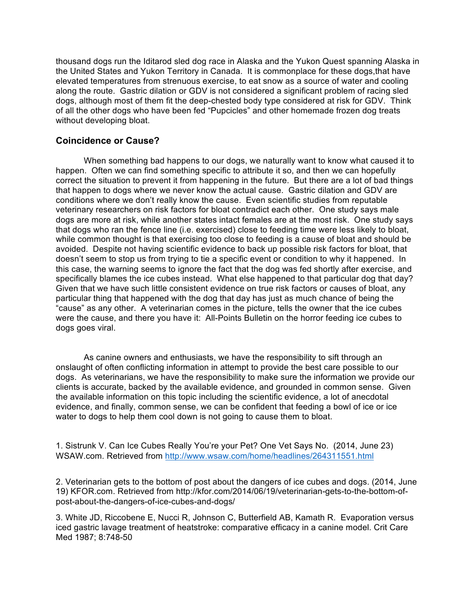thousand dogs run the Iditarod sled dog race in Alaska and the Yukon Quest spanning Alaska in the United States and Yukon Territory in Canada. It is commonplace for these dogs,that have elevated temperatures from strenuous exercise, to eat snow as a source of water and cooling along the route. Gastric dilation or GDV is not considered a significant problem of racing sled dogs, although most of them fit the deep-chested body type considered at risk for GDV. Think of all the other dogs who have been fed "Pupcicles" and other homemade frozen dog treats without developing bloat.

## **Coincidence or Cause?**

When something bad happens to our dogs, we naturally want to know what caused it to happen. Often we can find something specific to attribute it so, and then we can hopefully correct the situation to prevent it from happening in the future. But there are a lot of bad things that happen to dogs where we never know the actual cause. Gastric dilation and GDV are conditions where we don't really know the cause. Even scientific studies from reputable veterinary researchers on risk factors for bloat contradict each other. One study says male dogs are more at risk, while another states intact females are at the most risk. One study says that dogs who ran the fence line (i.e. exercised) close to feeding time were less likely to bloat, while common thought is that exercising too close to feeding is a cause of bloat and should be avoided. Despite not having scientific evidence to back up possible risk factors for bloat, that doesn't seem to stop us from trying to tie a specific event or condition to why it happened. In this case, the warning seems to ignore the fact that the dog was fed shortly after exercise, and specifically blames the ice cubes instead. What else happened to that particular dog that day? Given that we have such little consistent evidence on true risk factors or causes of bloat, any particular thing that happened with the dog that day has just as much chance of being the "cause" as any other. A veterinarian comes in the picture, tells the owner that the ice cubes were the cause, and there you have it: All-Points Bulletin on the horror feeding ice cubes to dogs goes viral.

As canine owners and enthusiasts, we have the responsibility to sift through an onslaught of often conflicting information in attempt to provide the best care possible to our dogs. As veterinarians, we have the responsibility to make sure the information we provide our clients is accurate, backed by the available evidence, and grounded in common sense. Given the available information on this topic including the scientific evidence, a lot of anecdotal evidence, and finally, common sense, we can be confident that feeding a bowl of ice or ice water to dogs to help them cool down is not going to cause them to bloat.

1. Sistrunk V. Can Ice Cubes Really You're your Pet? One Vet Says No. (2014, June 23) WSAW.com. Retrieved from http://www.wsaw.com/home/headlines/264311551.html

2. Veterinarian gets to the bottom of post about the dangers of ice cubes and dogs. (2014, June 19) KFOR.com. Retrieved from http://kfor.com/2014/06/19/veterinarian-gets-to-the-bottom-ofpost-about-the-dangers-of-ice-cubes-and-dogs/

3. White JD, Riccobene E, Nucci R, Johnson C, Butterfield AB, Kamath R. Evaporation versus iced gastric lavage treatment of heatstroke: comparative efficacy in a canine model. Crit Care Med 1987; 8:748-50